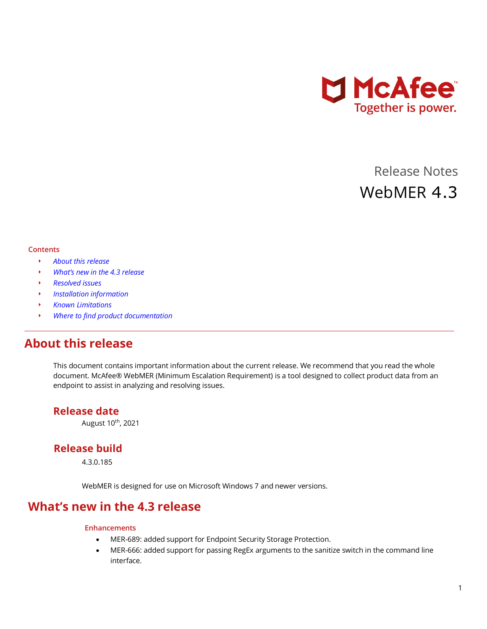

# Release Notes WebMER 4.3

#### **Contents**

- *[About this release](#page-0-0)*
- *[What's new in the 4.](#page-0-1)3 release*
- *[Resolved issues](#page-1-0)*
- *[Installation information](#page-1-1)*
- *[Known Limitations](#page-1-2)*
- *[Where to find product documentation](#page-1-3)*

### <span id="page-0-0"></span>**About this release**

This document contains important information about the current release. We recommend that you read the whole document. McAfee® WebMER (Minimum Escalation Requirement) is a tool designed to collect product data from an endpoint to assist in analyzing and resolving issues.

### **Release date**

August 10th, 2021

### **Release build**

4.3.0.185

WebMER is designed for use on Microsoft Windows 7 and newer versions.

### <span id="page-0-1"></span>**What's new in the 4.3 release**

#### **Enhancements**

- MER-689: added support for Endpoint Security Storage Protection.
- MER-666: added support for passing RegEx arguments to the sanitize switch in the command line interface.